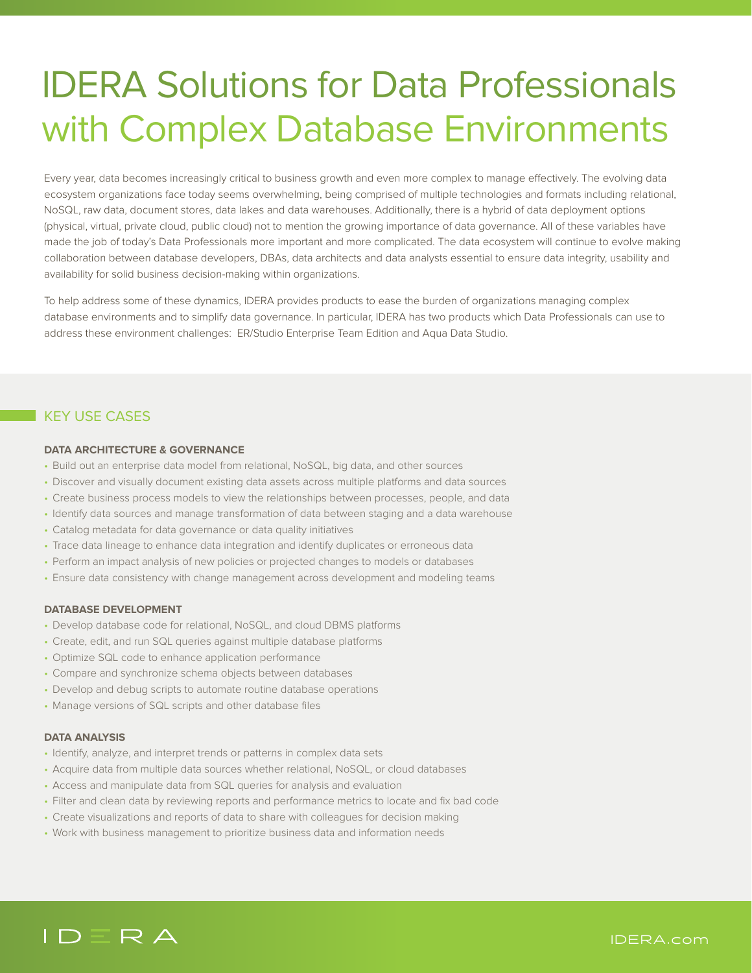# IDERA Solutions for Data Professionals with Complex Database Environments

Every year, data becomes increasingly critical to business growth and even more complex to manage effectively. The evolving data ecosystem organizations face today seems overwhelming, being comprised of multiple technologies and formats including relational, NoSQL, raw data, document stores, data lakes and data warehouses. Additionally, there is a hybrid of data deployment options (physical, virtual, private cloud, public cloud) not to mention the growing importance of data governance. All of these variables have made the job of today's Data Professionals more important and more complicated. The data ecosystem will continue to evolve making collaboration between database developers, DBAs, data architects and data analysts essential to ensure data integrity, usability and availability for solid business decision-making within organizations.

To help address some of these dynamics, IDERA provides products to ease the burden of organizations managing complex database environments and to simplify data governance. In particular, IDERA has two products which Data Professionals can use to address these environment challenges: ER/Studio Enterprise Team Edition and Aqua Data Studio.

## KEY USE CASES

#### **DATA ARCHITECTURE & GOVERNANCE**

- Build out an enterprise data model from relational, NoSQL, big data, and other sources
- Discover and visually document existing data assets across multiple platforms and data sources
- Create business process models to view the relationships between processes, people, and data
- Identify data sources and manage transformation of data between staging and a data warehouse
- Catalog metadata for data governance or data quality initiatives
- Trace data lineage to enhance data integration and identify duplicates or erroneous data
- Perform an impact analysis of new policies or projected changes to models or databases
- Ensure data consistency with change management across development and modeling teams

#### **DATABASE DEVELOPMENT**

- Develop database code for relational, NoSQL, and cloud DBMS platforms
- Create, edit, and run SQL queries against multiple database platforms
- Optimize SQL code to enhance application performance
- Compare and synchronize schema objects between databases
- Develop and debug scripts to automate routine database operations
- Manage versions of SQL scripts and other database files

#### **DATA ANALYSIS**

- Identify, analyze, and interpret trends or patterns in complex data sets
- Acquire data from multiple data sources whether relational, NoSQL, or cloud databases
- Access and manipulate data from SQL queries for analysis and evaluation
- Filter and clean data by reviewing reports and performance metrics to locate and fix bad code
- Create visualizations and reports of data to share with colleagues for decision making
- Work with business management to prioritize business data and information needs